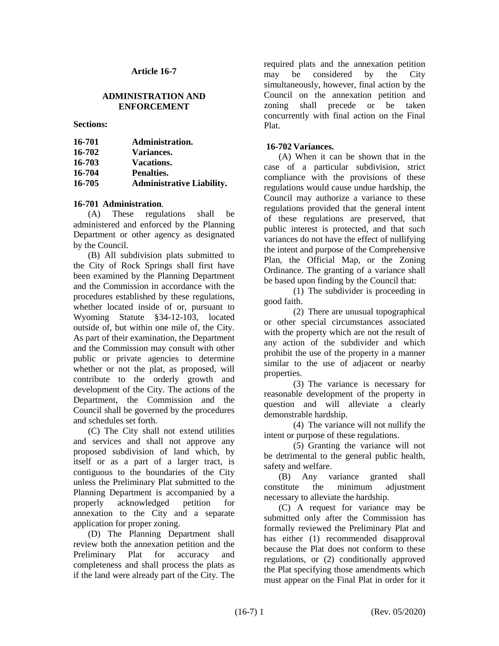#### **Article 16-7**

#### **ADMINISTRATION AND ENFORCEMENT**

**Sections:**

| 16-701 | Administration.                  |
|--------|----------------------------------|
| 16-702 | <b>Variances.</b>                |
| 16-703 | <b>Vacations.</b>                |
| 16-704 | Penalties.                       |
| 16-705 | <b>Administrative Liability.</b> |

#### **16-701 Administration**.

(A) These regulations shall be administered and enforced by the Planning Department or other agency as designated by the Council.

(B) All subdivision plats submitted to the City of Rock Springs shall first have been examined by the Planning Department and the Commission in accordance with the procedures established by these regulations, whether located inside of or, pursuant to Wyoming Statute §34-12-103, located outside of, but within one mile of, the City. As part of their examination, the Department and the Commission may consult with other public or private agencies to determine whether or not the plat, as proposed, will contribute to the orderly growth and development of the City. The actions of the Department, the Commission and the Council shall be governed by the procedures and schedules set forth.

(C) The City shall not extend utilities and services and shall not approve any proposed subdivision of land which, by itself or as a part of a larger tract, is contiguous to the boundaries of the City unless the Preliminary Plat submitted to the Planning Department is accompanied by a properly acknowledged petition for annexation to the City and a separate application for proper zoning.

(D) The Planning Department shall review both the annexation petition and the Preliminary Plat for accuracy and completeness and shall process the plats as if the land were already part of the City. The

required plats and the annexation petition may be considered by the City simultaneously, however, final action by the Council on the annexation petition and zoning shall precede or be taken concurrently with final action on the Final Plat.

# **16-702 Variances.**

(A) When it can be shown that in the case of a particular subdivision, strict compliance with the provisions of these regulations would cause undue hardship, the Council may authorize a variance to these regulations provided that the general intent of these regulations are preserved, that public interest is protected, and that such variances do not have the effect of nullifying the intent and purpose of the Comprehensive Plan, the Official Map, or the Zoning Ordinance. The granting of a variance shall be based upon finding by the Council that:

(1) The subdivider is proceeding in good faith.

(2) There are unusual topographical or other special circumstances associated with the property which are not the result of any action of the subdivider and which prohibit the use of the property in a manner similar to the use of adjacent or nearby properties.

(3) The variance is necessary for reasonable development of the property in question and will alleviate a clearly demonstrable hardship.

(4) The variance will not nullify the intent or purpose of these regulations.

(5) Granting the variance will not be detrimental to the general public health, safety and welfare.

(B) Any variance granted shall constitute the minimum adjustment necessary to alleviate the hardship.

(C) A request for variance may be submitted only after the Commission has formally reviewed the Preliminary Plat and has either (1) recommended disapproval because the Plat does not conform to these regulations, or (2) conditionally approved the Plat specifying those amendments which must appear on the Final Plat in order for it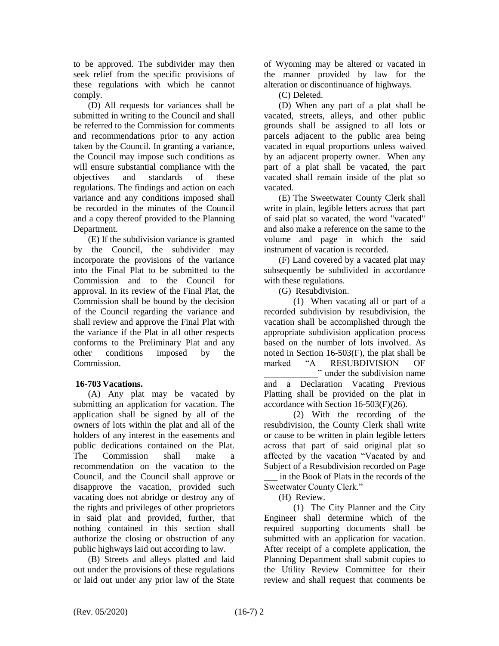to be approved. The subdivider may then seek relief from the specific provisions of these regulations with which he cannot comply.

(D) All requests for variances shall be submitted in writing to the Council and shall be referred to the Commission for comments and recommendations prior to any action taken by the Council. In granting a variance, the Council may impose such conditions as will ensure substantial compliance with the objectives and standards of these regulations. The findings and action on each variance and any conditions imposed shall be recorded in the minutes of the Council and a copy thereof provided to the Planning Department.

(E) If the subdivision variance is granted by the Council, the subdivider may incorporate the provisions of the variance into the Final Plat to be submitted to the Commission and to the Council for approval. In its review of the Final Plat, the Commission shall be bound by the decision of the Council regarding the variance and shall review and approve the Final Plat with the variance if the Plat in all other respects conforms to the Preliminary Plat and any other conditions imposed by the Commission.

# **16-703 Vacations.**

(A) Any plat may be vacated by submitting an application for vacation. The application shall be signed by all of the owners of lots within the plat and all of the holders of any interest in the easements and public dedications contained on the Plat. The Commission shall make a recommendation on the vacation to the Council, and the Council shall approve or disapprove the vacation, provided such vacating does not abridge or destroy any of the rights and privileges of other proprietors in said plat and provided, further, that nothing contained in this section shall authorize the closing or obstruction of any public highways laid out according to law.

(B) Streets and alleys platted and laid out under the provisions of these regulations or laid out under any prior law of the State

of Wyoming may be altered or vacated in the manner provided by law for the alteration or discontinuance of highways.

(C) Deleted.

(D) When any part of a plat shall be vacated, streets, alleys, and other public grounds shall be assigned to all lots or parcels adjacent to the public area being vacated in equal proportions unless waived by an adjacent property owner. When any part of a plat shall be vacated, the part vacated shall remain inside of the plat so vacated.

(E) The Sweetwater County Clerk shall write in plain, legible letters across that part of said plat so vacated, the word "vacated" and also make a reference on the same to the volume and page in which the said instrument of vacation is recorded.

(F) Land covered by a vacated plat may subsequently be subdivided in accordance with these regulations.

(G) Resubdivision.

(1) When vacating all or part of a recorded subdivision by resubdivision, the vacation shall be accomplished through the appropriate subdivision application process based on the number of lots involved. As noted in Section 16-503(F), the plat shall be marked "A RESUBDIVISION OF

" under the subdivision name and a Declaration Vacating Previous Platting shall be provided on the plat in accordance with Section 16-503(F)(26).

(2) With the recording of the resubdivision, the County Clerk shall write or cause to be written in plain legible letters across that part of said original plat so affected by the vacation "Vacated by and Subject of a Resubdivision recorded on Page \_\_\_ in the Book of Plats in the records of the Sweetwater County Clerk."

(H) Review.

(1) The City Planner and the City Engineer shall determine which of the required supporting documents shall be submitted with an application for vacation. After receipt of a complete application, the Planning Department shall submit copies to the Utility Review Committee for their review and shall request that comments be